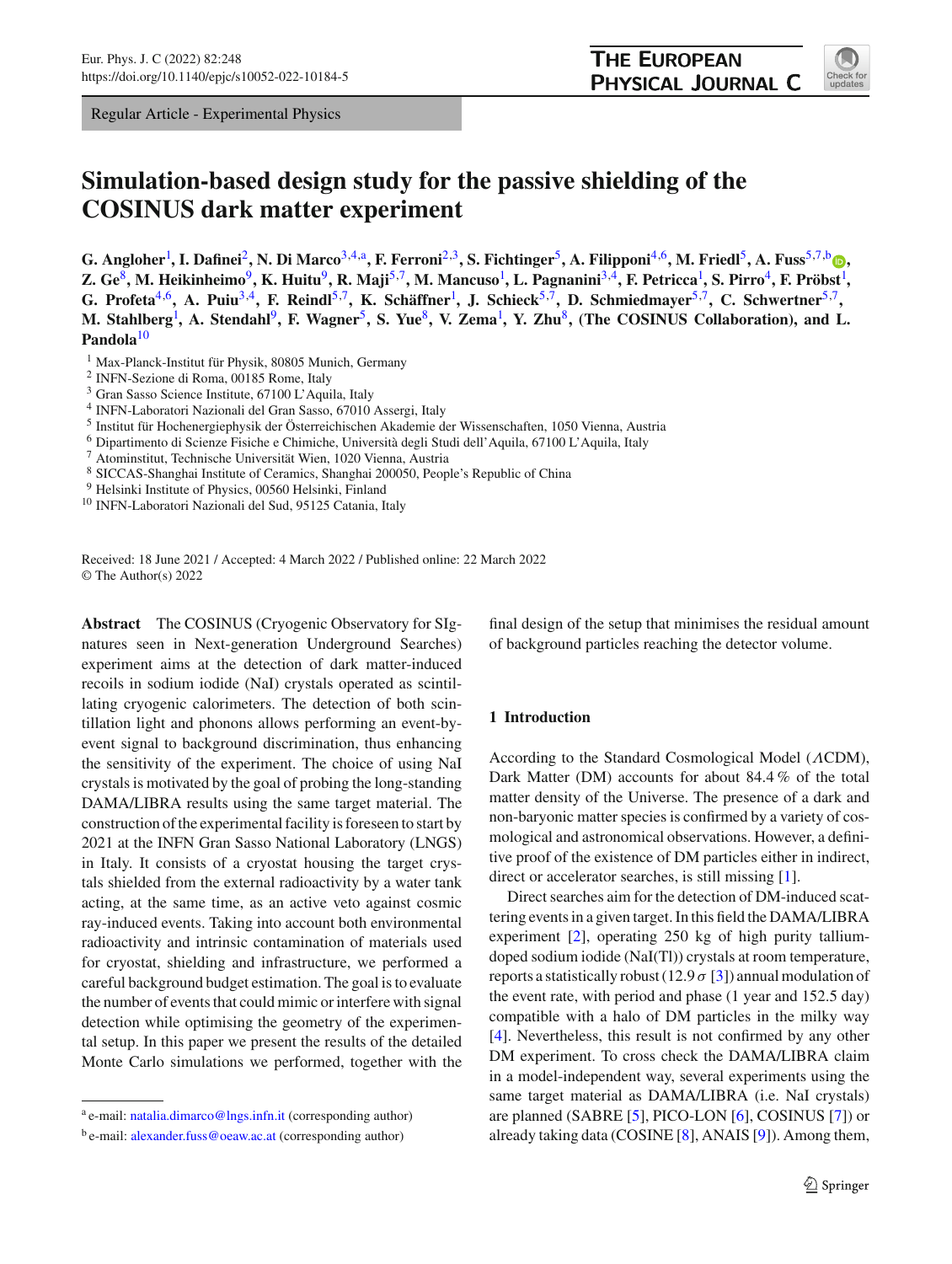Regular Article - Experimental Physics



# **Simulation-based design study for the passive shielding of the COSINUS dark matter experiment**

**G.** Angloher<sup>[1](#page-0-0)</sup>, I. Dafinei<sup>[2](#page-0-0)</sup>, N. Di Marco<sup>[3](#page-0-1)[,4,](#page-0-2)a</sup>, F. Ferroni<sup>2[,3](#page-0-1)</sup>, S. Fichtinger<sup>[5](#page-0-3)</sup>, A. Filipponi<sup>[4](#page-0-2)[,6](#page-0-4)</sup>, M. Friedl<sup>5</sup>, A. Fuss<sup>5[,7,](#page-0-5)b</sup> (D[,](http://orcid.org/0000-0002-2448-6813)  $Z$ . Ge $^8$  $^8$ , M. Heikinheimo $^9$  $^9$ , K. Huitu $^9$ , R. Maji<sup>[5](#page-0-3)[,7](#page-0-5)</sup>, M. Mancuso<sup>[1](#page-0-0)</sup>, L. Pagnanini<sup>[3](#page-0-1)[,4](#page-0-2)</sup>, F. Petricca<sup>1</sup>, S. Pirro<sup>[4](#page-0-2)</sup>, F. Pröbst<sup>1</sup>, **G. Profeta**[4](#page-0-2)[,6](#page-0-4)**, A. Puiu**[3](#page-0-1)[,4](#page-0-2)**, F. Reindl**[5](#page-0-3)[,7](#page-0-5)**, K. Schäffner**[1](#page-0-0) **, J. Schieck**[5](#page-0-3)[,7](#page-0-5)**, D. Schmiedmayer**[5](#page-0-3)[,7](#page-0-5)**, C. Schwertner**[5](#page-0-3)[,7](#page-0-5)**,** M. Stahlberg<sup>[1](#page-0-0)</sup>, A. Stendahl<sup>[9](#page-0-7)</sup>, F. Wagner<sup>[5](#page-0-3)</sup>, S. Yue<sup>[8](#page-0-6)</sup>, V. Zema<sup>1</sup>, Y. Zhu<sup>8</sup>, (The COSINUS Collaboration), and L. **Pandola**[10](#page-0-8)

- <span id="page-0-1"></span><sup>1</sup> Max-Planck-Institut für Physik, 80805 Munich, Germany
- <sup>2</sup> INFN-Sezione di Roma, 00185 Rome, Italy
- <sup>3</sup> Gran Sasso Science Institute, 67100 L'Aquila, Italy
- <sup>4</sup> INFN-Laboratori Nazionali del Gran Sasso, 67010 Assergi, Italy
- <sup>5</sup> Institut für Hochenergiephysik der Österreichischen Akademie der Wissenschaften, 1050 Vienna, Austria
- <sup>6</sup> Dipartimento di Scienze Fisiche e Chimiche, Università degli Studi dell'Aquila, 67100 L'Aquila, Italy
- <sup>7</sup> Atominstitut, Technische Universität Wien, 1020 Vienna, Austria
- <sup>8</sup> SICCAS-Shanghai Institute of Ceramics, Shanghai 200050, People's Republic of China<br><sup>9</sup> Helsinki Institute of Physics, 00560 Helsinki, Finland
- 
- <sup>10</sup> INFN-Laboratori Nazionali del Sud, 95125 Catania, Italy

Received: 18 June 2021 / Accepted: 4 March 2022 / Published online: 22 March 2022 © The Author(s) 2022

**Abstract** The COSINUS (Cryogenic Observatory for SIgnatures seen in Next-generation Underground Searches) experiment aims at the detection of dark matter-induced recoils in sodium iodide (NaI) crystals operated as scintillating cryogenic calorimeters. The detection of both scintillation light and phonons allows performing an event-byevent signal to background discrimination, thus enhancing the sensitivity of the experiment. The choice of using NaI crystals is motivated by the goal of probing the long-standing DAMA/LIBRA results using the same target material. The construction of the experimental facility is foreseen to start by 2021 at the INFN Gran Sasso National Laboratory (LNGS) in Italy. It consists of a cryostat housing the target crystals shielded from the external radioactivity by a water tank acting, at the same time, as an active veto against cosmic ray-induced events. Taking into account both environmental radioactivity and intrinsic contamination of materials used for cryostat, shielding and infrastructure, we performed a careful background budget estimation. The goal is to evaluate the number of events that could mimic or interfere with signal detection while optimising the geometry of the experimental setup. In this paper we present the results of the detailed Monte Carlo simulations we performed, together with the <span id="page-0-8"></span><span id="page-0-7"></span><span id="page-0-6"></span><span id="page-0-5"></span><span id="page-0-4"></span><span id="page-0-3"></span><span id="page-0-2"></span><span id="page-0-0"></span>final design of the setup that minimises the residual amount of background particles reaching the detector volume.

## **1 Introduction**

According to the Standard Cosmological Model (ΛCDM), Dark Matter (DM) accounts for about 84.4 % of the total matter density of the Universe. The presence of a dark and non-baryonic matter species is confirmed by a variety of cosmological and astronomical observations. However, a definitive proof of the existence of DM particles either in indirect, direct or accelerator searches, is still missing [\[1](#page-10-0)].

Direct searches aim for the detection of DM-induced scattering events in a given target. In this field the DAMA/LIBRA experiment [\[2\]](#page-10-1), operating 250 kg of high purity talliumdoped sodium iodide (NaI(Tl)) crystals at room temperature, reports a statistically robust (12.9  $\sigma$  [\[3\]](#page-10-2)) annual modulation of the event rate, with period and phase (1 year and 152.5 day) compatible with a halo of DM particles in the milky way [\[4](#page-10-3)]. Nevertheless, this result is not confirmed by any other DM experiment. To cross check the DAMA/LIBRA claim in a model-independent way, several experiments using the same target material as DAMA/LIBRA (i.e. NaI crystals) are planned (SABRE [\[5](#page-10-4)], PICO-LON [\[6\]](#page-10-5), COSINUS [\[7](#page-10-6)]) or already taking data (COSINE [\[8\]](#page-10-7), ANAIS [\[9](#page-10-8)]). Among them,

<sup>a</sup> e-mail: [natalia.dimarco@lngs.infn.it](mailto:natalia.dimarco@lngs.infn.it) (corresponding author)

 $b$  e-mail: [alexander.fuss@oeaw.ac.at](mailto:alexander.fuss@oeaw.ac.at) (corresponding author)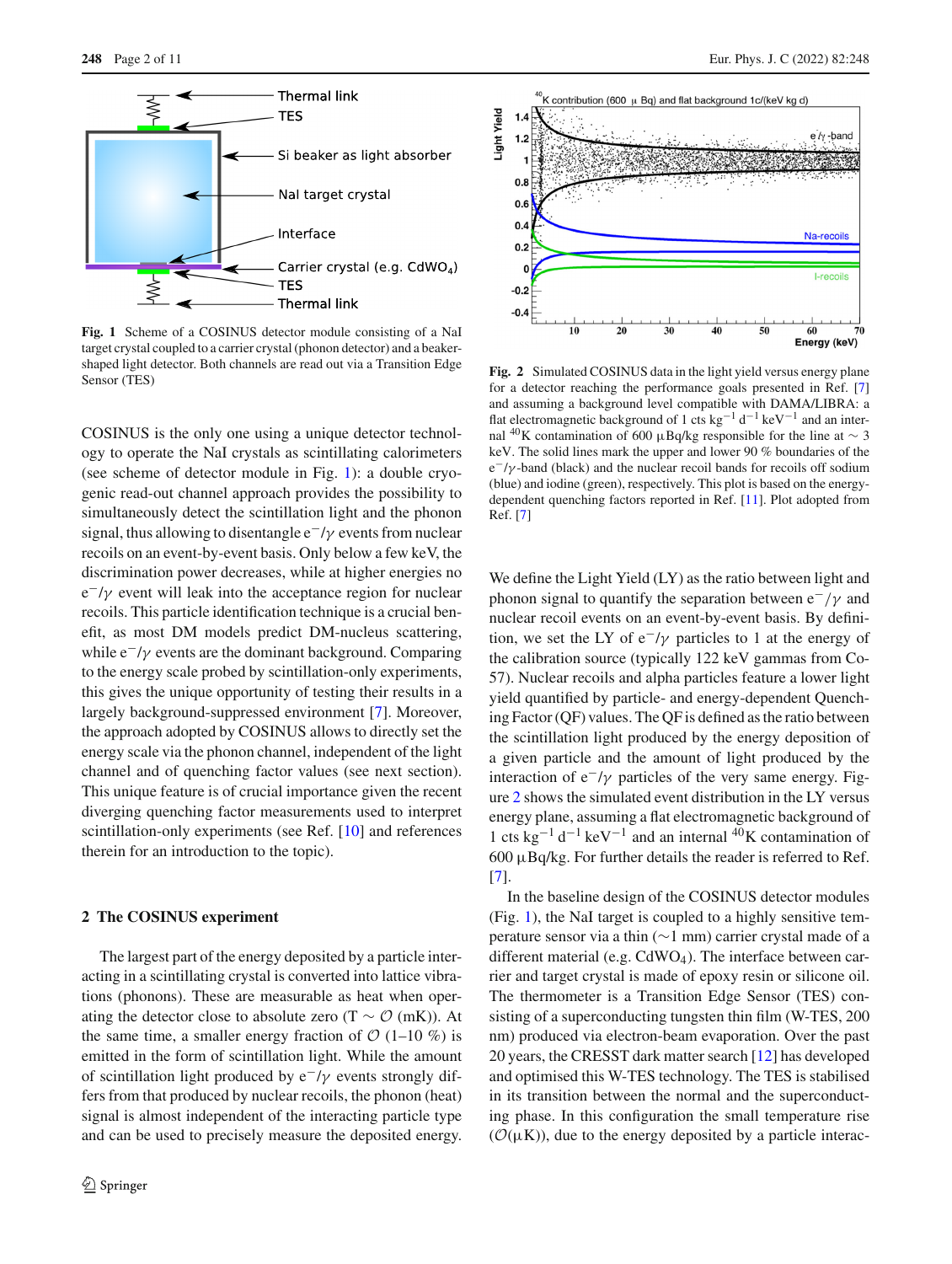

<span id="page-1-0"></span>**Fig. 1** Scheme of a COSINUS detector module consisting of a NaI target crystal coupled to a carrier crystal (phonon detector) and a beakershaped light detector. Both channels are read out via a Transition Edge Sensor (TES)

COSINUS is the only one using a unique detector technology to operate the NaI crystals as scintillating calorimeters (see scheme of detector module in Fig. [1\)](#page-1-0): a double cryogenic read-out channel approach provides the possibility to simultaneously detect the scintillation light and the phonon signal, thus allowing to disentangle  $e^-/\gamma$  events from nuclear recoils on an event-by-event basis. Only below a few keV, the discrimination power decreases, while at higher energies no  $e^{-}/\gamma$  event will leak into the acceptance region for nuclear recoils. This particle identification technique is a crucial benefit, as most DM models predict DM-nucleus scattering, while  $e^-/\gamma$  events are the dominant background. Comparing to the energy scale probed by scintillation-only experiments, this gives the unique opportunity of testing their results in a largely background-suppressed environment [\[7](#page-10-6)]. Moreover, the approach adopted by COSINUS allows to directly set the energy scale via the phonon channel, independent of the light channel and of quenching factor values (see next section). This unique feature is of crucial importance given the recent diverging quenching factor measurements used to interpret scintillation-only experiments (see Ref. [\[10\]](#page-10-9) and references therein for an introduction to the topic).

## <span id="page-1-2"></span>**2 The COSINUS experiment**

The largest part of the energy deposited by a particle interacting in a scintillating crystal is converted into lattice vibrations (phonons). These are measurable as heat when operating the detector close to absolute zero (T  $\sim$   $\mathcal{O}$  (mK)). At the same time, a smaller energy fraction of  $O(1-10\%)$  is emitted in the form of scintillation light. While the amount of scintillation light produced by  $e^{-}/\gamma$  events strongly differs from that produced by nuclear recoils, the phonon (heat) signal is almost independent of the interacting particle type and can be used to precisely measure the deposited energy.



<span id="page-1-1"></span>**Fig. 2** Simulated COSINUS data in the light yield versus energy plane for a detector reaching the performance goals presented in Ref. [\[7](#page-10-6)] and assuming a background level compatible with DAMA/LIBRA: a flat electromagnetic background of 1 cts kg<sup>-1</sup> d<sup>-1</sup> keV<sup>-1</sup> and an internal <sup>40</sup>K contamination of 600 μBq/kg responsible for the line at ~ 3 keV. The solid lines mark the upper and lower 90 % boundaries of the e−/γ -band (black) and the nuclear recoil bands for recoils off sodium (blue) and iodine (green), respectively. This plot is based on the energydependent quenching factors reported in Ref. [\[11\]](#page-10-10). Plot adopted from Ref. [\[7\]](#page-10-6)

We define the Light Yield (LY) as the ratio between light and phonon signal to quantify the separation between  $e^-/\gamma$  and nuclear recoil events on an event-by-event basis. By definition, we set the LY of e<sup> $-$ </sup>/γ particles to 1 at the energy of the calibration source (typically 122 keV gammas from Co-57). Nuclear recoils and alpha particles feature a lower light yield quantified by particle- and energy-dependent Quenching Factor (QF) values. The QF is defined as the ratio between the scintillation light produced by the energy deposition of a given particle and the amount of light produced by the interaction of  $e^{-}/\gamma$  particles of the very same energy. Figure [2](#page-1-1) shows the simulated event distribution in the LY versus energy plane, assuming a flat electromagnetic background of 1 cts kg<sup>-1</sup> d<sup>-1</sup> keV<sup>-1</sup> and an internal <sup>40</sup>K contamination of 600 μBq/kg. For further details the reader is referred to Ref. [\[7](#page-10-6)].

In the baseline design of the COSINUS detector modules (Fig. [1\)](#page-1-0), the NaI target is coupled to a highly sensitive temperature sensor via a thin (∼1 mm) carrier crystal made of a different material (e.g.  $CdWO<sub>4</sub>$ ). The interface between carrier and target crystal is made of epoxy resin or silicone oil. The thermometer is a Transition Edge Sensor (TES) consisting of a superconducting tungsten thin film (W-TES, 200 nm) produced via electron-beam evaporation. Over the past 20 years, the CRESST dark matter search [\[12](#page-10-11)] has developed and optimised this W-TES technology. The TES is stabilised in its transition between the normal and the superconducting phase. In this configuration the small temperature rise  $(\mathcal{O}(\mu K))$ , due to the energy deposited by a particle interac-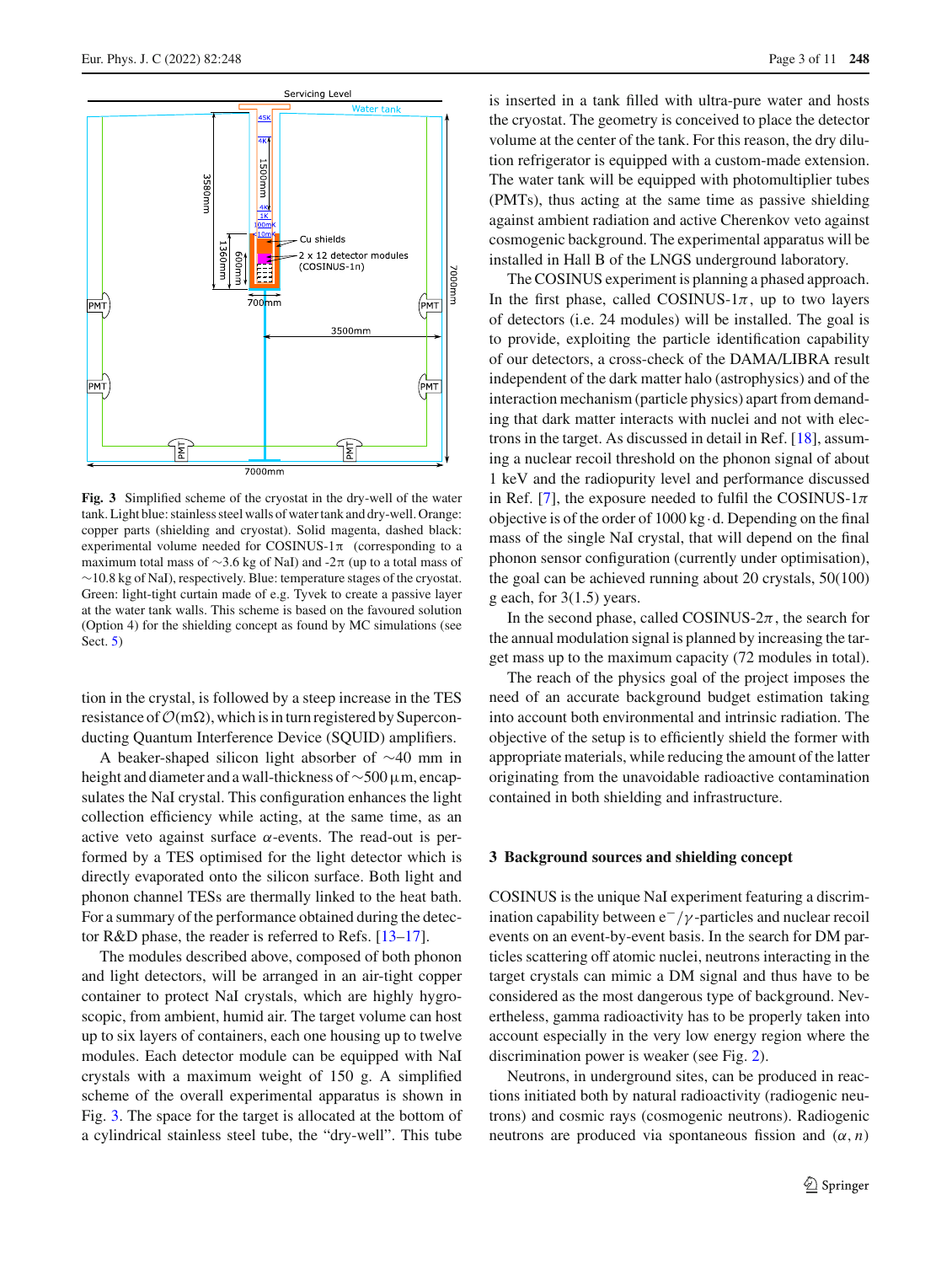

<span id="page-2-0"></span>**Fig. 3** Simplified scheme of the cryostat in the dry-well of the water tank. Light blue: stainless steel walls of water tank and dry-well. Orange: copper parts (shielding and cryostat). Solid magenta, dashed black: experimental volume needed for COSINUS- $1\pi$  (corresponding to a maximum total mass of  $\sim$ 3.6 kg of NaI) and -2π (up to a total mass of ∼10.8 kg of NaI), respectively. Blue: temperature stages of the cryostat. Green: light-tight curtain made of e.g. Tyvek to create a passive layer at the water tank walls. This scheme is based on the favoured solution (Option 4) for the shielding concept as found by MC simulations (see Sect. [5\)](#page-8-0)

tion in the crystal, is followed by a steep increase in the TES resistance of  $\mathcal{O}(m\Omega)$ , which is in turn registered by Superconducting Quantum Interference Device (SQUID) amplifiers.

A beaker-shaped silicon light absorber of ∼40 mm in height and diameter and a wall-thickness of∼500μm, encapsulates the NaI crystal. This configuration enhances the light collection efficiency while acting, at the same time, as an active veto against surface  $\alpha$ -events. The read-out is performed by a TES optimised for the light detector which is directly evaporated onto the silicon surface. Both light and phonon channel TESs are thermally linked to the heat bath. For a summary of the performance obtained during the detector R&D phase, the reader is referred to Refs. [\[13](#page-10-12)[–17](#page-10-13)].

The modules described above, composed of both phonon and light detectors, will be arranged in an air-tight copper container to protect NaI crystals, which are highly hygroscopic, from ambient, humid air. The target volume can host up to six layers of containers, each one housing up to twelve modules. Each detector module can be equipped with NaI crystals with a maximum weight of 150 g. A simplified scheme of the overall experimental apparatus is shown in Fig. [3.](#page-2-0) The space for the target is allocated at the bottom of a cylindrical stainless steel tube, the "dry-well". This tube is inserted in a tank filled with ultra-pure water and hosts the cryostat. The geometry is conceived to place the detector volume at the center of the tank. For this reason, the dry dilution refrigerator is equipped with a custom-made extension. The water tank will be equipped with photomultiplier tubes (PMTs), thus acting at the same time as passive shielding against ambient radiation and active Cherenkov veto against cosmogenic background. The experimental apparatus will be installed in Hall B of the LNGS underground laboratory.

The COSINUS experiment is planning a phased approach. In the first phase, called COSINUS-1 $\pi$ , up to two layers of detectors (i.e. 24 modules) will be installed. The goal is to provide, exploiting the particle identification capability of our detectors, a cross-check of the DAMA/LIBRA result independent of the dark matter halo (astrophysics) and of the interaction mechanism (particle physics) apart from demanding that dark matter interacts with nuclei and not with electrons in the target. As discussed in detail in Ref. [\[18](#page-10-14)], assuming a nuclear recoil threshold on the phonon signal of about 1 keV and the radiopurity level and performance discussed in Ref. [\[7\]](#page-10-6), the exposure needed to fulfil the COSINUS-1 $\pi$ objective is of the order of 1000 kg·d. Depending on the final mass of the single NaI crystal, that will depend on the final phonon sensor configuration (currently under optimisation), the goal can be achieved running about 20 crystals, 50(100) g each, for 3(1.5) years.

In the second phase, called COSINUS- $2\pi$ , the search for the annual modulation signal is planned by increasing the target mass up to the maximum capacity (72 modules in total).

The reach of the physics goal of the project imposes the need of an accurate background budget estimation taking into account both environmental and intrinsic radiation. The objective of the setup is to efficiently shield the former with appropriate materials, while reducing the amount of the latter originating from the unavoidable radioactive contamination contained in both shielding and infrastructure.

## <span id="page-2-1"></span>**3 Background sources and shielding concept**

COSINUS is the unique NaI experiment featuring a discrimination capability between  $e^-/y$ -particles and nuclear recoil events on an event-by-event basis. In the search for DM particles scattering off atomic nuclei, neutrons interacting in the target crystals can mimic a DM signal and thus have to be considered as the most dangerous type of background. Nevertheless, gamma radioactivity has to be properly taken into account especially in the very low energy region where the discrimination power is weaker (see Fig. [2\)](#page-1-1).

Neutrons, in underground sites, can be produced in reactions initiated both by natural radioactivity (radiogenic neutrons) and cosmic rays (cosmogenic neutrons). Radiogenic neutrons are produced via spontaneous fission and  $(\alpha, n)$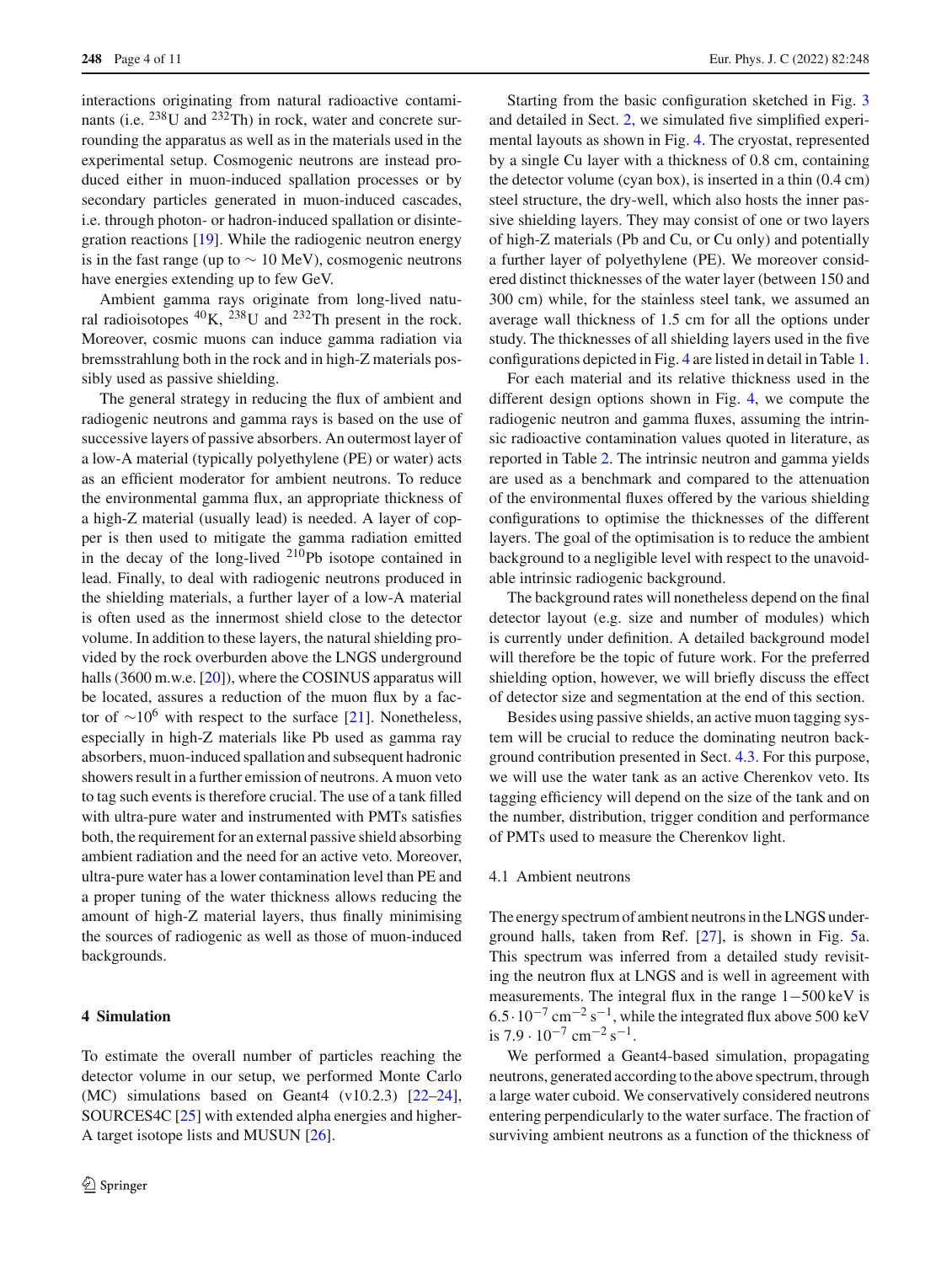interactions originating from natural radioactive contaminants (i.e. 238U and 232Th) in rock, water and concrete surrounding the apparatus as well as in the materials used in the experimental setup. Cosmogenic neutrons are instead produced either in muon-induced spallation processes or by secondary particles generated in muon-induced cascades, i.e. through photon- or hadron-induced spallation or disintegration reactions [\[19\]](#page-10-15). While the radiogenic neutron energy is in the fast range (up to  $\sim 10$  MeV), cosmogenic neutrons have energies extending up to few GeV.

Ambient gamma rays originate from long-lived natural radioisotopes  ${}^{40}$ K,  ${}^{238}$ U and  ${}^{232}$ Th present in the rock. Moreover, cosmic muons can induce gamma radiation via bremsstrahlung both in the rock and in high-Z materials possibly used as passive shielding.

The general strategy in reducing the flux of ambient and radiogenic neutrons and gamma rays is based on the use of successive layers of passive absorbers. An outermost layer of a low-A material (typically polyethylene (PE) or water) acts as an efficient moderator for ambient neutrons. To reduce the environmental gamma flux, an appropriate thickness of a high-Z material (usually lead) is needed. A layer of copper is then used to mitigate the gamma radiation emitted in the decay of the long-lived  $2^{10}Pb$  isotope contained in lead. Finally, to deal with radiogenic neutrons produced in the shielding materials, a further layer of a low-A material is often used as the innermost shield close to the detector volume. In addition to these layers, the natural shielding provided by the rock overburden above the LNGS underground halls (3600 m.w.e. [\[20](#page-10-16)]), where the COSINUS apparatus will be located, assures a reduction of the muon flux by a factor of  $\sim$ 10<sup>6</sup> with respect to the surface [\[21\]](#page-10-17). Nonetheless, especially in high-Z materials like Pb used as gamma ray absorbers, muon-induced spallation and subsequent hadronic showers result in a further emission of neutrons. A muon veto to tag such events is therefore crucial. The use of a tank filled with ultra-pure water and instrumented with PMTs satisfies both, the requirement for an external passive shield absorbing ambient radiation and the need for an active veto. Moreover, ultra-pure water has a lower contamination level than PE and a proper tuning of the water thickness allows reducing the amount of high-Z material layers, thus finally minimising the sources of radiogenic as well as those of muon-induced backgrounds.

# **4 Simulation**

To estimate the overall number of particles reaching the detector volume in our setup, we performed Monte Carlo (MC) simulations based on Geant4 (v10.2.3) [\[22](#page-10-18)[–24](#page-10-19)], SOURCES4C [\[25\]](#page-10-20) with extended alpha energies and higher-A target isotope lists and MUSUN [\[26](#page-10-21)].

Starting from the basic configuration sketched in Fig. [3](#page-2-0) and detailed in Sect. [2,](#page-1-2) we simulated five simplified experimental layouts as shown in Fig. [4.](#page-4-0) The cryostat, represented by a single Cu layer with a thickness of 0.8 cm, containing the detector volume (cyan box), is inserted in a thin (0.4 cm) steel structure, the dry-well, which also hosts the inner passive shielding layers. They may consist of one or two layers of high-Z materials (Pb and Cu, or Cu only) and potentially a further layer of polyethylene (PE). We moreover considered distinct thicknesses of the water layer (between 150 and 300 cm) while, for the stainless steel tank, we assumed an average wall thickness of 1.5 cm for all the options under study. The thicknesses of all shielding layers used in the five configurations depicted in Fig. [4](#page-4-0) are listed in detail in Table [1.](#page-4-1)

For each material and its relative thickness used in the different design options shown in Fig. [4,](#page-4-0) we compute the radiogenic neutron and gamma fluxes, assuming the intrinsic radioactive contamination values quoted in literature, as reported in Table [2.](#page-5-0) The intrinsic neutron and gamma yields are used as a benchmark and compared to the attenuation of the environmental fluxes offered by the various shielding configurations to optimise the thicknesses of the different layers. The goal of the optimisation is to reduce the ambient background to a negligible level with respect to the unavoidable intrinsic radiogenic background.

The background rates will nonetheless depend on the final detector layout (e.g. size and number of modules) which is currently under definition. A detailed background model will therefore be the topic of future work. For the preferred shielding option, however, we will briefly discuss the effect of detector size and segmentation at the end of this section.

Besides using passive shields, an active muon tagging system will be crucial to reduce the dominating neutron background contribution presented in Sect. [4.3.](#page-6-0) For this purpose, we will use the water tank as an active Cherenkov veto. Its tagging efficiency will depend on the size of the tank and on the number, distribution, trigger condition and performance of PMTs used to measure the Cherenkov light.

#### 4.1 Ambient neutrons

The energy spectrum of ambient neutrons in the LNGS underground halls, taken from Ref. [\[27\]](#page-10-22), is shown in Fig. [5a](#page-5-1). This spectrum was inferred from a detailed study revisiting the neutron flux at LNGS and is well in agreement with measurements. The integral flux in the range 1−500 keV is  $6.5 \cdot 10^{-7}$  cm<sup>-2</sup> s<sup>-1</sup>, while the integrated flux above 500 keV is  $7.9 \cdot 10^{-7}$  cm<sup>-2</sup> s<sup>-1</sup>.

We performed a Geant4-based simulation, propagating neutrons, generated according to the above spectrum, through a large water cuboid. We conservatively considered neutrons entering perpendicularly to the water surface. The fraction of surviving ambient neutrons as a function of the thickness of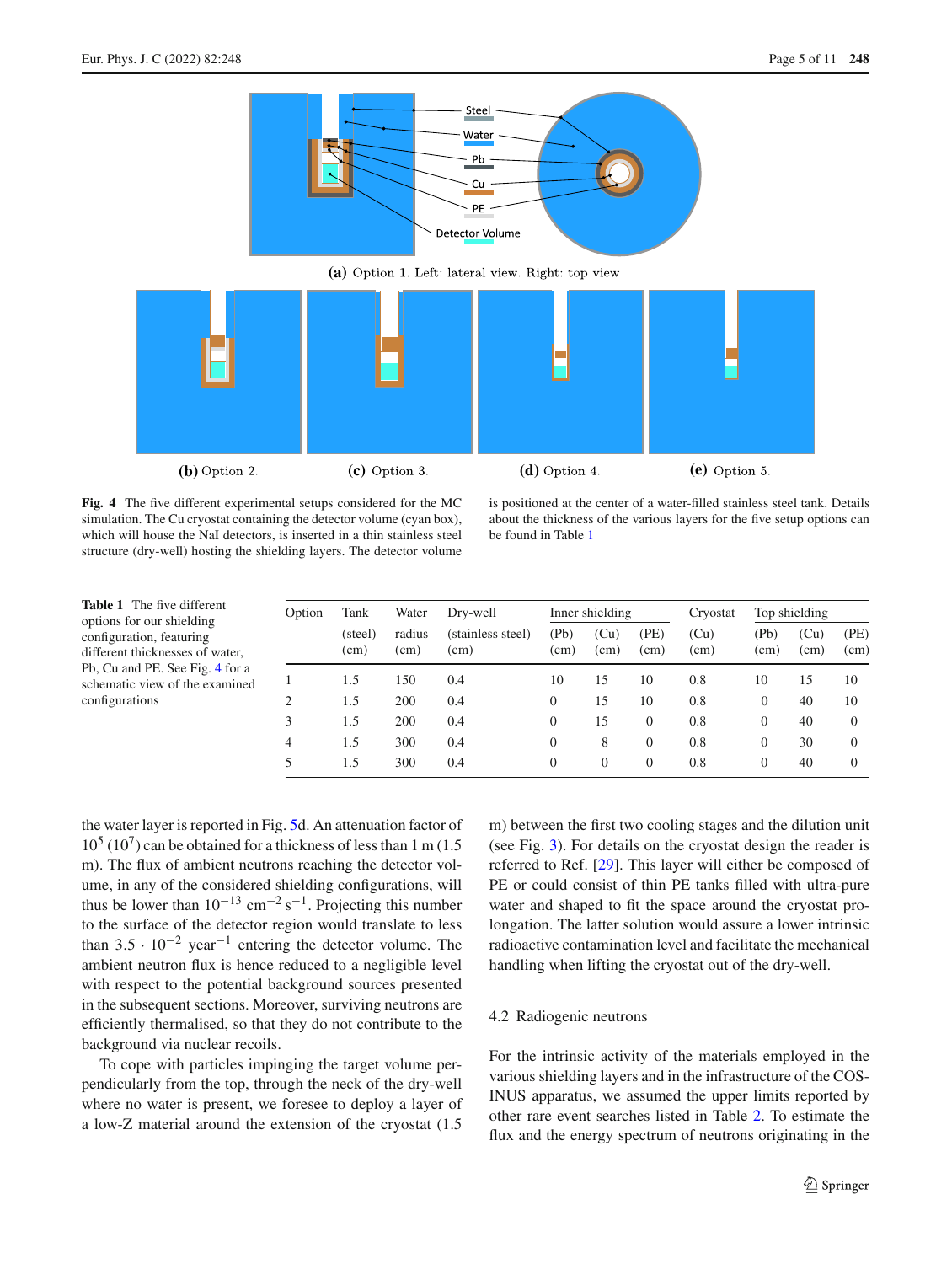

<span id="page-4-0"></span>**Fig. 4** The five different experimental setups considered for the MC simulation. The Cu cryostat containing the detector volume (cyan box), which will house the NaI detectors, is inserted in a thin stainless steel structure (dry-well) hosting the shielding layers. The detector volume

is positioned at the center of a water-filled stainless steel tank. Details about the thickness of the various layers for the five setup options can be found in Table [1](#page-4-1)

<span id="page-4-1"></span>

| <b>Table 1</b> The five different<br>options for our shielding    | Option | Tank                              | Water                     | Dry-well     |              | Inner shielding |              | Cryostat     |              | Top shielding |    |
|-------------------------------------------------------------------|--------|-----------------------------------|---------------------------|--------------|--------------|-----------------|--------------|--------------|--------------|---------------|----|
| configuration, featuring<br>different thicknesses of water,       |        | radius<br>(steel)<br>(cm)<br>(cm) | (stainless steel)<br>(cm) | (Pb)<br>(cm) | (Cu)<br>(cm) | (PE)<br>(cm)    | (Cu)<br>(cm) | (Pb)<br>(cm) | (Cu)<br>(cm) | (PE)<br>(cm)  |    |
| Pb, Cu and PE. See Fig. 4 for a<br>schematic view of the examined |        | 1.5                               | 150                       | 0.4          | 10           | 15              | 10           | 0.8          | 10           | 15            | 10 |
| configurations                                                    |        | 1.5                               | 200                       | 0.4          | 0            | 15              | 10           | 0.8          | $\Omega$     | 40            | 10 |
|                                                                   | 3      | 1.5                               | 200                       | 0.4          | $\Omega$     | 15              | $\Omega$     | 0.8          | $\Omega$     | 40            | 0  |
|                                                                   | 4      | 1.5                               | 300                       | 0.4          | 0            | 8               | $\Omega$     | 0.8          | $\Omega$     | 30            | 0  |
|                                                                   |        | 1.5                               | 300                       | 0.4          | $\Omega$     | $\theta$        |              | 0.8          | $\Omega$     | 40            | 0  |

the water layer is reported in Fig. [5d](#page-5-1). An attenuation factor of  $10^5$  (10<sup>7</sup>) can be obtained for a thickness of less than 1 m (1.5 m). The flux of ambient neutrons reaching the detector volume, in any of the considered shielding configurations, will thus be lower than  $10^{-13}$  cm<sup>-2</sup> s<sup>-1</sup>. Projecting this number to the surface of the detector region would translate to less than  $3.5 \cdot 10^{-2}$  year<sup>-1</sup> entering the detector volume. The ambient neutron flux is hence reduced to a negligible level with respect to the potential background sources presented in the subsequent sections. Moreover, surviving neutrons are efficiently thermalised, so that they do not contribute to the background via nuclear recoils.

To cope with particles impinging the target volume perpendicularly from the top, through the neck of the dry-well where no water is present, we foresee to deploy a layer of a low-Z material around the extension of the cryostat (1.5 m) between the first two cooling stages and the dilution unit (see Fig. [3\)](#page-2-0). For details on the cryostat design the reader is referred to Ref. [\[29](#page-10-23)]. This layer will either be composed of PE or could consist of thin PE tanks filled with ultra-pure water and shaped to fit the space around the cryostat prolongation. The latter solution would assure a lower intrinsic radioactive contamination level and facilitate the mechanical handling when lifting the cryostat out of the dry-well.

# 4.2 Radiogenic neutrons

For the intrinsic activity of the materials employed in the various shielding layers and in the infrastructure of the COS-INUS apparatus, we assumed the upper limits reported by other rare event searches listed in Table [2.](#page-5-0) To estimate the flux and the energy spectrum of neutrons originating in the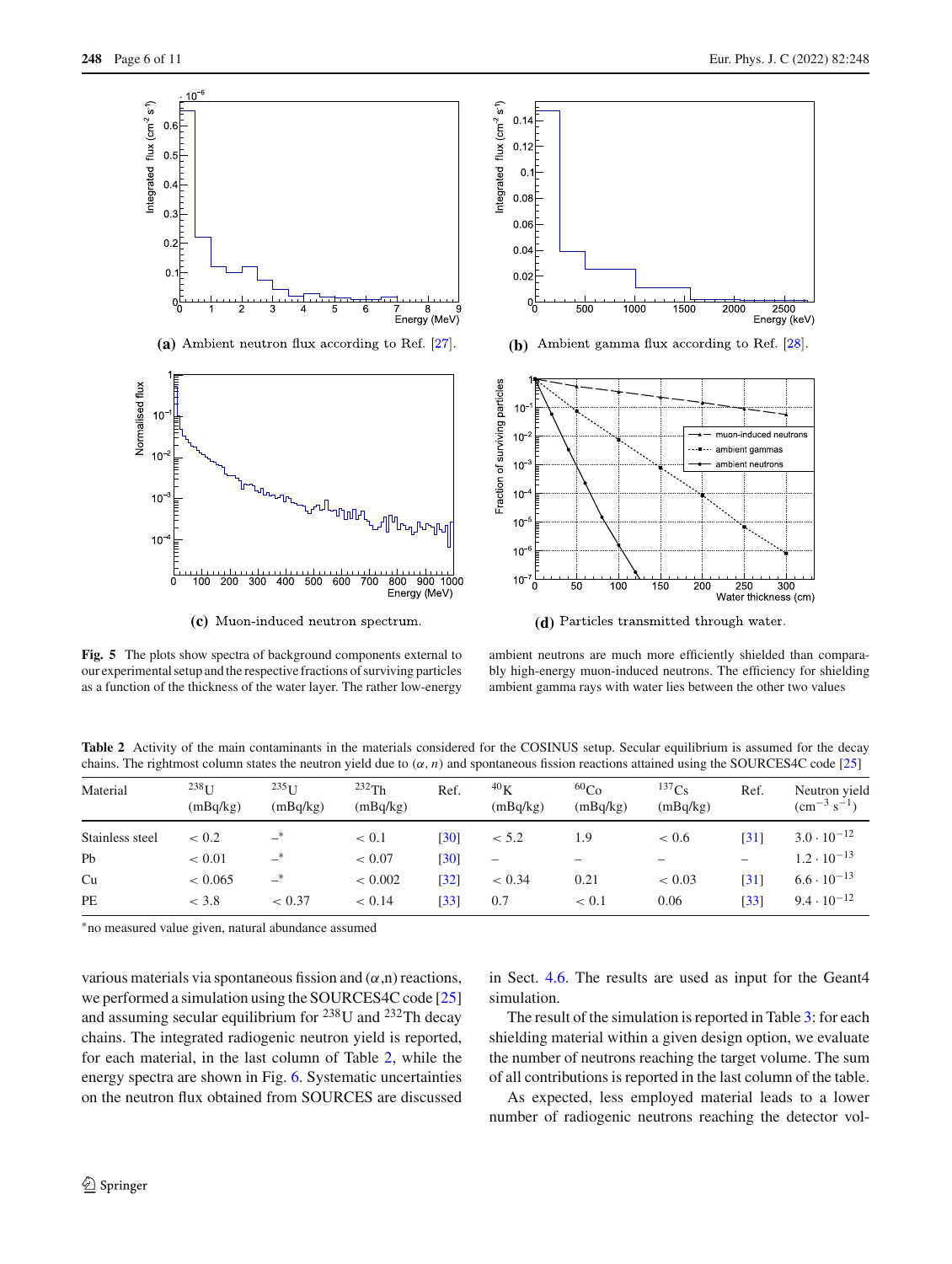

<span id="page-5-1"></span>**Fig. 5** The plots show spectra of background components external to our experimental setup and the respective fractions of surviving particles as a function of the thickness of the water layer. The rather low-energy

ambient neutrons are much more efficiently shielded than comparably high-energy muon-induced neutrons. The efficiency for shielding ambient gamma rays with water lies between the other two values

<span id="page-5-0"></span>Table 2 Activity of the main contaminants in the materials considered for the COSINUS setup. Secular equilibrium is assumed for the decay chains. The rightmost column states the neutron yield due to  $(\alpha, n)$  and spontaneous fission reactions attained using the SOURCES4C code [\[25](#page-10-20)]

| Material        | $238$ <sup>U</sup><br>(mBq/kg) | $235$ <sub>U</sub><br>(mBq/kg) | $232$ Th<br>(mBq/kg) | Ref.               | 40 <sub>K</sub><br>(mBq/kg) | ${}^{60}Co$<br>(mBq/kg) | $^{137}Cs$<br>(mBq/kg) | Ref.               | Neutron yield<br>$\rm (cm^{-3} \ s^{-1})$ |
|-----------------|--------------------------------|--------------------------------|----------------------|--------------------|-----------------------------|-------------------------|------------------------|--------------------|-------------------------------------------|
| Stainless steel | < 0.2                          | $-$ *                          | < 0.1                | [30]               | < 5.2                       | 1.9                     | ~< 0.6                 | $\lceil 31 \rceil$ | $3.0 \cdot 10^{-12}$                      |
| Ph              | < 0.01                         | $-$ *                          | < 0.07               | $\lceil 30 \rceil$ | -                           |                         |                        | -                  | $1.2 \cdot 10^{-13}$                      |
| Cu              | < 0.065                        | $-$ *                          | < 0.002              | $\lceil 32 \rceil$ | < 0.34                      | 0.21                    | < 0.03                 | $\lceil 31 \rceil$ | $6.6 \cdot 10^{-13}$                      |
| PE              | $<$ 3.8                        | < 0.37                         | < 0.14               | [33]               | 0.7                         | < 0.1                   | 0.06                   | [33]               | $9.4 \cdot 10^{-12}$                      |

∗no measured value given, natural abundance assumed

various materials via spontaneous fission and  $(\alpha, n)$  reactions, we performed a simulation using the SOURCES4C code [\[25\]](#page-10-20) and assuming secular equilibrium for  $^{238}$ U and  $^{232}$ Th decay chains. The integrated radiogenic neutron yield is reported, for each material, in the last column of Table [2,](#page-5-0) while the energy spectra are shown in Fig. [6.](#page-6-1) Systematic uncertainties on the neutron flux obtained from SOURCES are discussed in Sect. [4.6.](#page-7-0) The results are used as input for the Geant4 simulation.

The result of the simulation is reported in Table [3:](#page-6-2) for each shielding material within a given design option, we evaluate the number of neutrons reaching the target volume. The sum of all contributions is reported in the last column of the table.

As expected, less employed material leads to a lower number of radiogenic neutrons reaching the detector vol-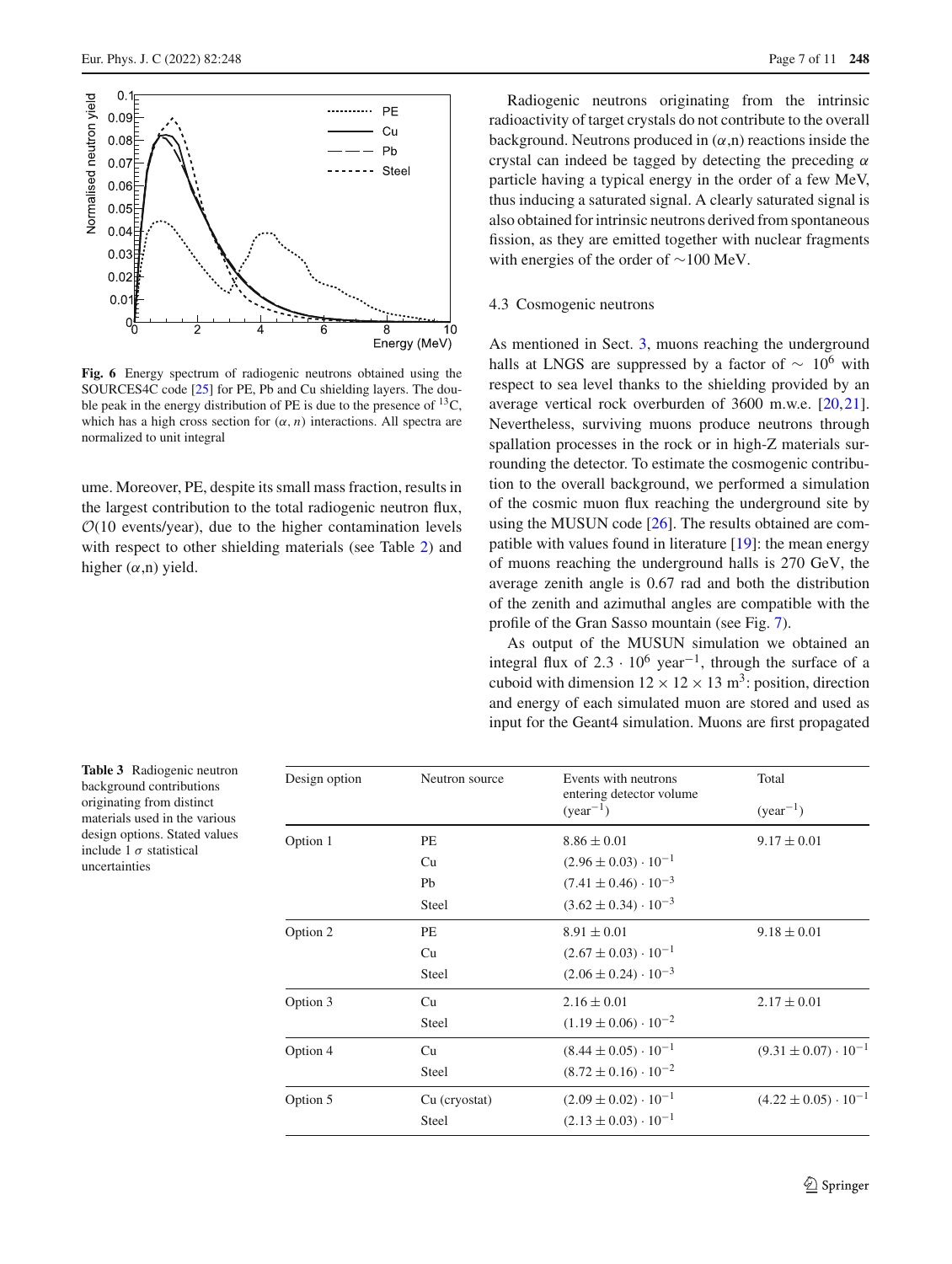

<span id="page-6-1"></span>**Fig. 6** Energy spectrum of radiogenic neutrons obtained using the SOURCES4C code [\[25\]](#page-10-20) for PE, Pb and Cu shielding layers. The double peak in the energy distribution of PE is due to the presence of  $^{13}C$ , which has a high cross section for  $(\alpha, n)$  interactions. All spectra are normalized to unit integral

ume. Moreover, PE, despite its small mass fraction, results in the largest contribution to the total radiogenic neutron flux,  $O(10 \text{ events/year})$ , due to the higher contamination levels with respect to other shielding materials (see Table [2\)](#page-5-0) and higher  $(\alpha, n)$  yield.

Radiogenic neutrons originating from the intrinsic radioactivity of target crystals do not contribute to the overall background. Neutrons produced in  $(\alpha, n)$  reactions inside the crystal can indeed be tagged by detecting the preceding  $\alpha$ particle having a typical energy in the order of a few MeV, thus inducing a saturated signal. A clearly saturated signal is also obtained for intrinsic neutrons derived from spontaneous fission, as they are emitted together with nuclear fragments with energies of the order of ∼100 MeV.

## <span id="page-6-0"></span>4.3 Cosmogenic neutrons

As mentioned in Sect. [3,](#page-2-1) muons reaching the underground halls at LNGS are suppressed by a factor of  $\sim 10^6$  with respect to sea level thanks to the shielding provided by an average vertical rock overburden of 3600 m.w.e. [\[20](#page-10-16)[,21](#page-10-17)]. Nevertheless, surviving muons produce neutrons through spallation processes in the rock or in high-Z materials surrounding the detector. To estimate the cosmogenic contribution to the overall background, we performed a simulation of the cosmic muon flux reaching the underground site by using the MUSUN code [\[26\]](#page-10-21). The results obtained are compatible with values found in literature [\[19](#page-10-15)]: the mean energy of muons reaching the underground halls is 270 GeV, the average zenith angle is 0.67 rad and both the distribution of the zenith and azimuthal angles are compatible with the profile of the Gran Sasso mountain (see Fig. [7\)](#page-7-1).

As output of the MUSUN simulation we obtained an integral flux of  $2.3 \cdot 10^6$  year<sup>-1</sup>, through the surface of a cuboid with dimension  $12 \times 12 \times 13$  m<sup>3</sup>: position, direction and energy of each simulated muon are stored and used as input for the Geant4 simulation. Muons are first propagated

| Design option | Neutron source | Events with neutrons<br>entering detector volume | Total                           |  |
|---------------|----------------|--------------------------------------------------|---------------------------------|--|
|               |                | $(year^{-1})$                                    | $(year^{-1})$                   |  |
| Option 1      | PE             | $8.86 \pm 0.01$                                  | $9.17 \pm 0.01$                 |  |
|               | Cu             | $(2.96 \pm 0.03) \cdot 10^{-1}$                  |                                 |  |
|               | Pb             | $(7.41 \pm 0.46) \cdot 10^{-3}$                  |                                 |  |
|               | Steel          | $(3.62 \pm 0.34) \cdot 10^{-3}$                  |                                 |  |
| Option 2      | PE             | $8.91 \pm 0.01$                                  | $9.18 \pm 0.01$                 |  |
|               | Cu             | $(2.67 \pm 0.03) \cdot 10^{-1}$                  |                                 |  |
|               | Steel          | $(2.06 \pm 0.24) \cdot 10^{-3}$                  |                                 |  |
| Option 3      | Cu             | $2.16 \pm 0.01$                                  | $2.17 \pm 0.01$                 |  |
|               | Steel          | $(1.19 \pm 0.06) \cdot 10^{-2}$                  |                                 |  |
| Option 4      | Cu             | $(8.44 \pm 0.05) \cdot 10^{-1}$                  | $(9.31 \pm 0.07) \cdot 10^{-1}$ |  |
|               | Steel          | $(8.72 \pm 0.16) \cdot 10^{-2}$                  |                                 |  |
| Option 5      | Cu (cryostat)  | $(2.09 \pm 0.02) \cdot 10^{-1}$                  | $(4.22 \pm 0.05) \cdot 10^{-1}$ |  |
|               | Steel          | $(2.13 \pm 0.03) \cdot 10^{-1}$                  |                                 |  |

<span id="page-6-2"></span>**Table 3** Radiogenic neutron background contributions originating from distinct materials used in the various design options. Stated values include 1  $\sigma$  statistical uncertainties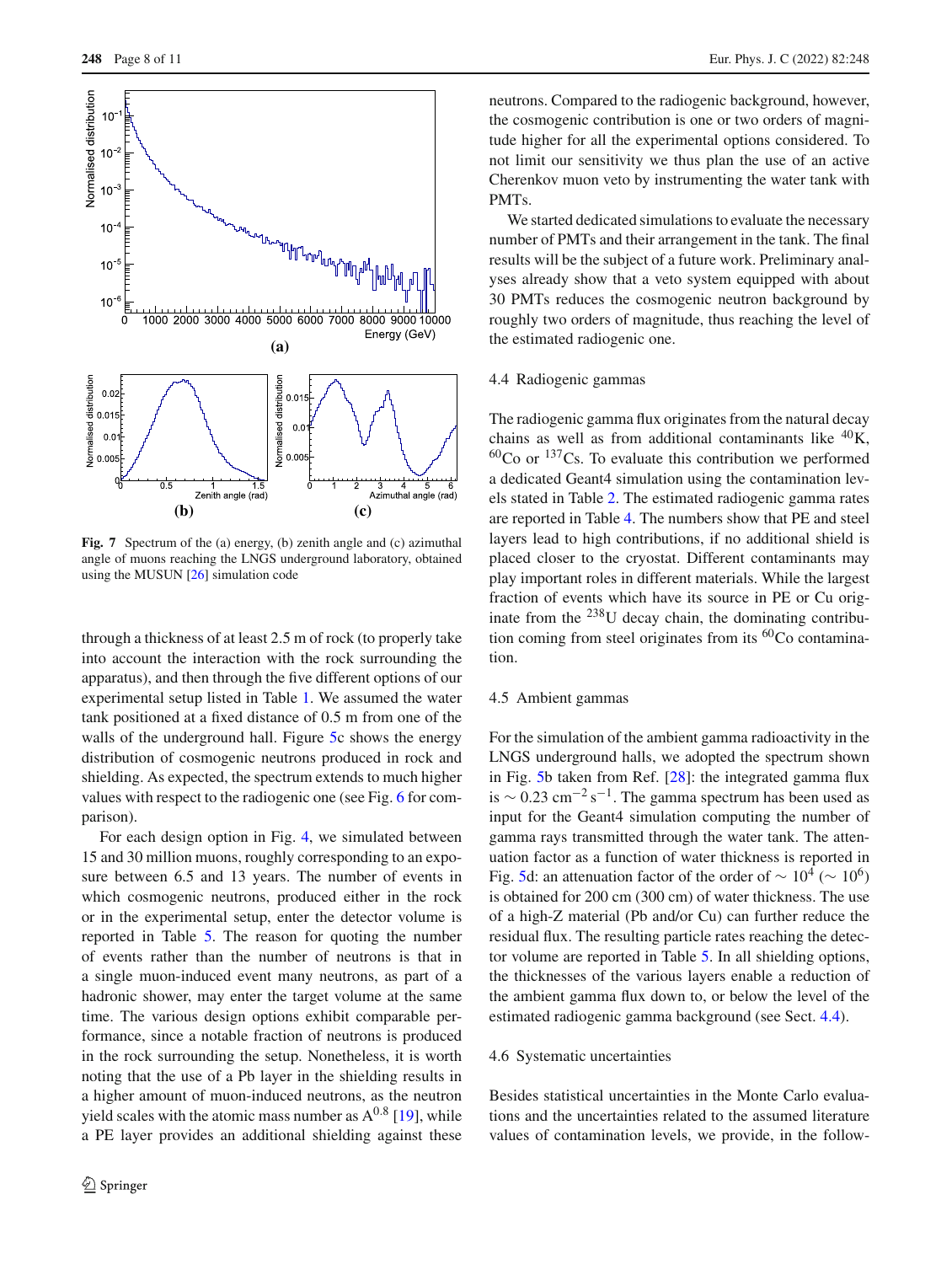

<span id="page-7-1"></span>**Fig. 7** Spectrum of the (a) energy, (b) zenith angle and (c) azimuthal angle of muons reaching the LNGS underground laboratory, obtained using the MUSUN [\[26\]](#page-10-21) simulation code

through a thickness of at least 2.5 m of rock (to properly take into account the interaction with the rock surrounding the apparatus), and then through the five different options of our experimental setup listed in Table [1.](#page-4-1) We assumed the water tank positioned at a fixed distance of 0.5 m from one of the walls of the underground hall. Figure [5c](#page-5-1) shows the energy distribution of cosmogenic neutrons produced in rock and shielding. As expected, the spectrum extends to much higher values with respect to the radiogenic one (see Fig. [6](#page-6-1) for comparison).

For each design option in Fig. [4,](#page-4-0) we simulated between 15 and 30 million muons, roughly corresponding to an exposure between 6.5 and 13 years. The number of events in which cosmogenic neutrons, produced either in the rock or in the experimental setup, enter the detector volume is reported in Table [5.](#page-8-1) The reason for quoting the number of events rather than the number of neutrons is that in a single muon-induced event many neutrons, as part of a hadronic shower, may enter the target volume at the same time. The various design options exhibit comparable performance, since a notable fraction of neutrons is produced in the rock surrounding the setup. Nonetheless, it is worth noting that the use of a Pb layer in the shielding results in a higher amount of muon-induced neutrons, as the neutron yield scales with the atomic mass number as  $A^{0.8}$  [\[19](#page-10-15)], while a PE layer provides an additional shielding against these neutrons. Compared to the radiogenic background, however, the cosmogenic contribution is one or two orders of magnitude higher for all the experimental options considered. To not limit our sensitivity we thus plan the use of an active Cherenkov muon veto by instrumenting the water tank with PMTs.

We started dedicated simulations to evaluate the necessary number of PMTs and their arrangement in the tank. The final results will be the subject of a future work. Preliminary analyses already show that a veto system equipped with about 30 PMTs reduces the cosmogenic neutron background by roughly two orders of magnitude, thus reaching the level of the estimated radiogenic one.

## <span id="page-7-2"></span>4.4 Radiogenic gammas

The radiogenic gamma flux originates from the natural decay chains as well as from additional contaminants like  ${}^{40}$ K,  $^{60}$ Co or  $^{137}$ Cs. To evaluate this contribution we performed a dedicated Geant4 simulation using the contamination levels stated in Table [2.](#page-5-0) The estimated radiogenic gamma rates are reported in Table [4.](#page-8-2) The numbers show that PE and steel layers lead to high contributions, if no additional shield is placed closer to the cryostat. Different contaminants may play important roles in different materials. While the largest fraction of events which have its source in PE or Cu originate from the  $^{238}$ U decay chain, the dominating contribution coming from steel originates from its  ${}^{60}Co$  contamination.

#### 4.5 Ambient gammas

For the simulation of the ambient gamma radioactivity in the LNGS underground halls, we adopted the spectrum shown in Fig. [5b](#page-5-1) taken from Ref. [\[28](#page-10-28)]: the integrated gamma flux is  $\sim$  0.23 cm<sup>-2</sup> s<sup>-1</sup>. The gamma spectrum has been used as input for the Geant4 simulation computing the number of gamma rays transmitted through the water tank. The attenuation factor as a function of water thickness is reported in Fig. [5d](#page-5-1): an attenuation factor of the order of  $\sim 10^4$  ( $\sim 10^6$ ) is obtained for 200 cm (300 cm) of water thickness. The use of a high-Z material (Pb and/or Cu) can further reduce the residual flux. The resulting particle rates reaching the detector volume are reported in Table [5.](#page-8-1) In all shielding options, the thicknesses of the various layers enable a reduction of the ambient gamma flux down to, or below the level of the estimated radiogenic gamma background (see Sect. [4.4\)](#page-7-2).

### <span id="page-7-0"></span>4.6 Systematic uncertainties

Besides statistical uncertainties in the Monte Carlo evaluations and the uncertainties related to the assumed literature values of contamination levels, we provide, in the follow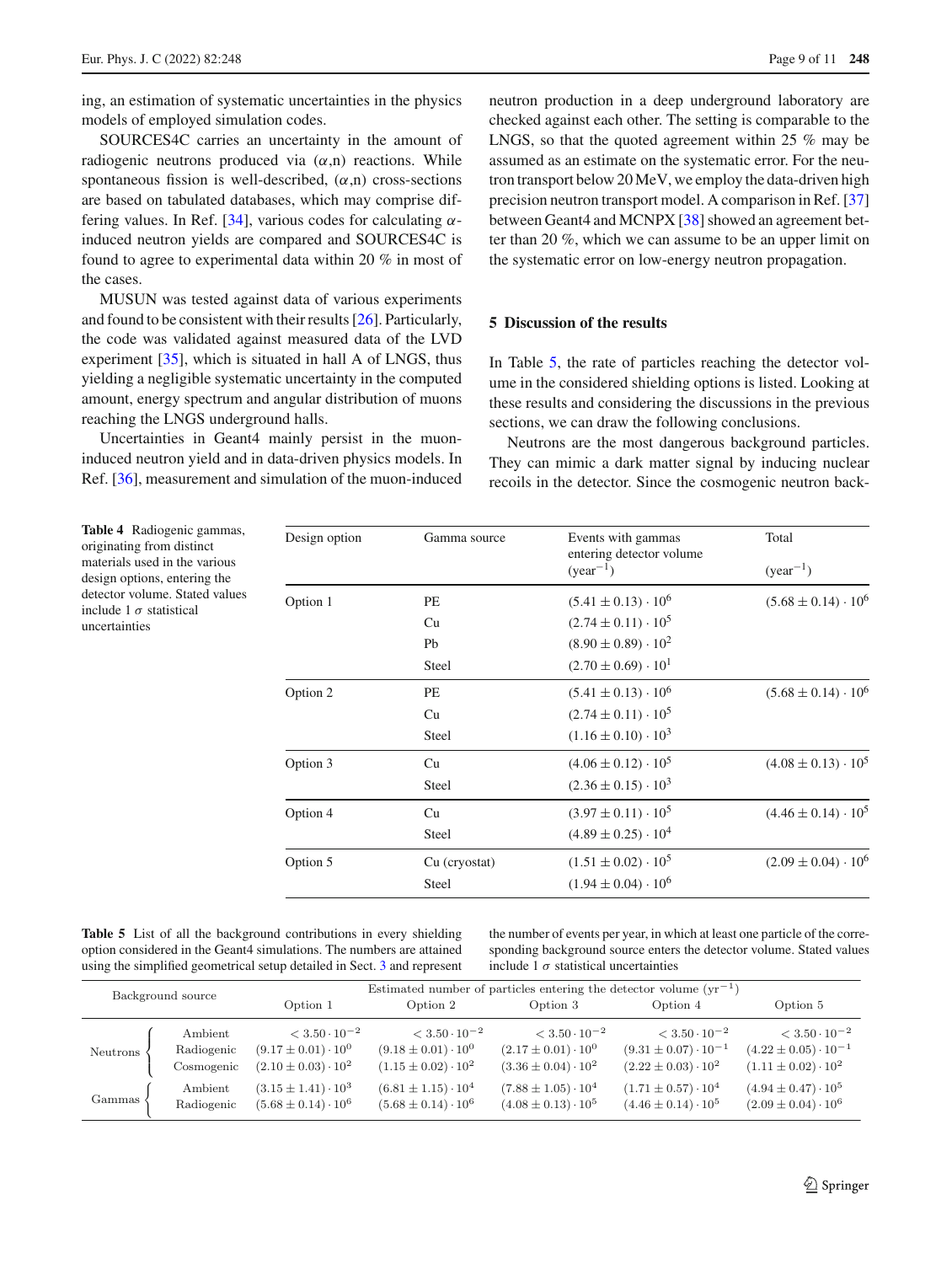ing, an estimation of systematic uncertainties in the physics models of employed simulation codes.

SOURCES4C carries an uncertainty in the amount of radiogenic neutrons produced via  $(\alpha,n)$  reactions. While spontaneous fission is well-described,  $(\alpha, n)$  cross-sections are based on tabulated databases, which may comprise dif-fering values. In Ref. [\[34](#page-10-29)], various codes for calculating  $\alpha$ induced neutron yields are compared and SOURCES4C is found to agree to experimental data within 20 % in most of the cases.

MUSUN was tested against data of various experiments and found to be consistent with their results [\[26\]](#page-10-21). Particularly, the code was validated against measured data of the LVD experiment [\[35\]](#page-10-30), which is situated in hall A of LNGS, thus yielding a negligible systematic uncertainty in the computed amount, energy spectrum and angular distribution of muons reaching the LNGS underground halls.

Uncertainties in Geant4 mainly persist in the muoninduced neutron yield and in data-driven physics models. In Ref. [\[36](#page-10-31)], measurement and simulation of the muon-induced neutron production in a deep underground laboratory are checked against each other. The setting is comparable to the LNGS, so that the quoted agreement within 25 % may be assumed as an estimate on the systematic error. For the neutron transport below 20 MeV, we employ the data-driven high precision neutron transport model. A comparison in Ref. [\[37\]](#page-10-32) between Geant4 and MCNPX [\[38\]](#page-10-33) showed an agreement better than 20 %, which we can assume to be an upper limit on the systematic error on low-energy neutron propagation.

# <span id="page-8-0"></span>**5 Discussion of the results**

In Table [5,](#page-8-1) the rate of particles reaching the detector volume in the considered shielding options is listed. Looking at these results and considering the discussions in the previous sections, we can draw the following conclusions.

Neutrons are the most dangerous background particles. They can mimic a dark matter signal by inducing nuclear recoils in the detector. Since the cosmogenic neutron back-

<span id="page-8-2"></span>**Table 4** Radiogenic gammas, originating from distinct materials used in the various design options, entering the detector volume. Stated values include 1  $\sigma$  statistical uncertainties

| Design option | Gamma source  | Events with gammas                        | Total                        |  |
|---------------|---------------|-------------------------------------------|------------------------------|--|
|               |               | entering detector volume<br>$(year^{-1})$ | $(year^{-1})$                |  |
| Option 1      | PE            | $(5.41 \pm 0.13) \cdot 10^6$              | $(5.68 \pm 0.14) \cdot 10^6$ |  |
|               | Cu            | $(2.74 \pm 0.11) \cdot 10^5$              |                              |  |
|               | Pb            | $(8.90 \pm 0.89) \cdot 10^{2}$            |                              |  |
|               | Steel         | $(2.70 \pm 0.69) \cdot 10^{1}$            |                              |  |
| Option 2      | PE            | $(5.41 \pm 0.13) \cdot 10^6$              | $(5.68 \pm 0.14) \cdot 10^6$ |  |
|               | Cu            | $(2.74 \pm 0.11) \cdot 10^5$              |                              |  |
|               | Steel         | $(1.16 \pm 0.10) \cdot 10^3$              |                              |  |
| Option 3      | Cu            | $(4.06 \pm 0.12) \cdot 10^5$              | $(4.08 \pm 0.13) \cdot 10^5$ |  |
|               | Steel         | $(2.36 \pm 0.15) \cdot 10^3$              |                              |  |
| Option 4      | Cu            | $(3.97 \pm 0.11) \cdot 10^5$              | $(4.46 \pm 0.14) \cdot 10^5$ |  |
|               | Steel         | $(4.89 \pm 0.25) \cdot 10^4$              |                              |  |
| Option 5      | Cu (cryostat) | $(1.51 \pm 0.02) \cdot 10^5$              | $(2.09 \pm 0.04) \cdot 10^6$ |  |
|               | Steel         | $(1.94 \pm 0.04) \cdot 10^6$              |                              |  |
|               |               |                                           |                              |  |

<span id="page-8-1"></span>

| <b>Table 5</b> List of all the background contributions in every shielding |  |
|----------------------------------------------------------------------------|--|
| option considered in the Geant4 simulations. The numbers are attained      |  |
| using the simplified geometrical setup detailed in Sect. 3 and represent   |  |

the number of events per year, in which at least one particle of the corresponding background source enters the detector volume. Stated values include 1  $\sigma$  statistical uncertainties

| Background source |            | Estimated number of particles entering the detector volume $(\text{yr}^{-1})$ |                                |                                |                                 |                                   |  |  |
|-------------------|------------|-------------------------------------------------------------------------------|--------------------------------|--------------------------------|---------------------------------|-----------------------------------|--|--|
|                   |            | Option 2<br>Option 1                                                          |                                | Option 3                       | Option 4                        | Option 5                          |  |  |
| Neutrons          | Ambient    | $<$ 3.50 $\cdot$ 10 <sup>-2</sup>                                             | $< 3.50 \cdot 10^{-2}$         | $< 3.50 \cdot 10^{-2}$         | $< 3.50 \cdot 10^{-2}$          | $<$ 3.50 $\cdot$ 10 <sup>-2</sup> |  |  |
|                   | Radiogenic | $(9.17 \pm 0.01) \cdot 10^{0}$                                                | $(9.18 \pm 0.01) \cdot 10^{0}$ | $(2.17 \pm 0.01) \cdot 10^{0}$ | $(9.31 \pm 0.07) \cdot 10^{-1}$ | $(4.22 \pm 0.05) \cdot 10^{-1}$   |  |  |
|                   | Cosmogenic | $(2.10 \pm 0.03) \cdot 10^2$                                                  | $(1.15 \pm 0.02) \cdot 10^2$   | $(3.36 \pm 0.04) \cdot 10^{2}$ | $(2.22 \pm 0.03) \cdot 10^2$    | $(1.11 \pm 0.02) \cdot 10^{2}$    |  |  |
| Gammas            | Ambient    | $(3.15 \pm 1.41) \cdot 10^3$                                                  | $(6.81 \pm 1.15) \cdot 10^4$   | $(7.88 \pm 1.05) \cdot 10^4$   | $(1.71 \pm 0.57) \cdot 10^4$    | $(4.94 \pm 0.47) \cdot 10^5$      |  |  |
|                   | Radiogenic | $(5.68 \pm 0.14) \cdot 10^6$                                                  | $(5.68 \pm 0.14) \cdot 10^6$   | $(4.08 \pm 0.13) \cdot 10^5$   | $(4.46 \pm 0.14) \cdot 10^5$    | $(2.09 \pm 0.04) \cdot 10^6$      |  |  |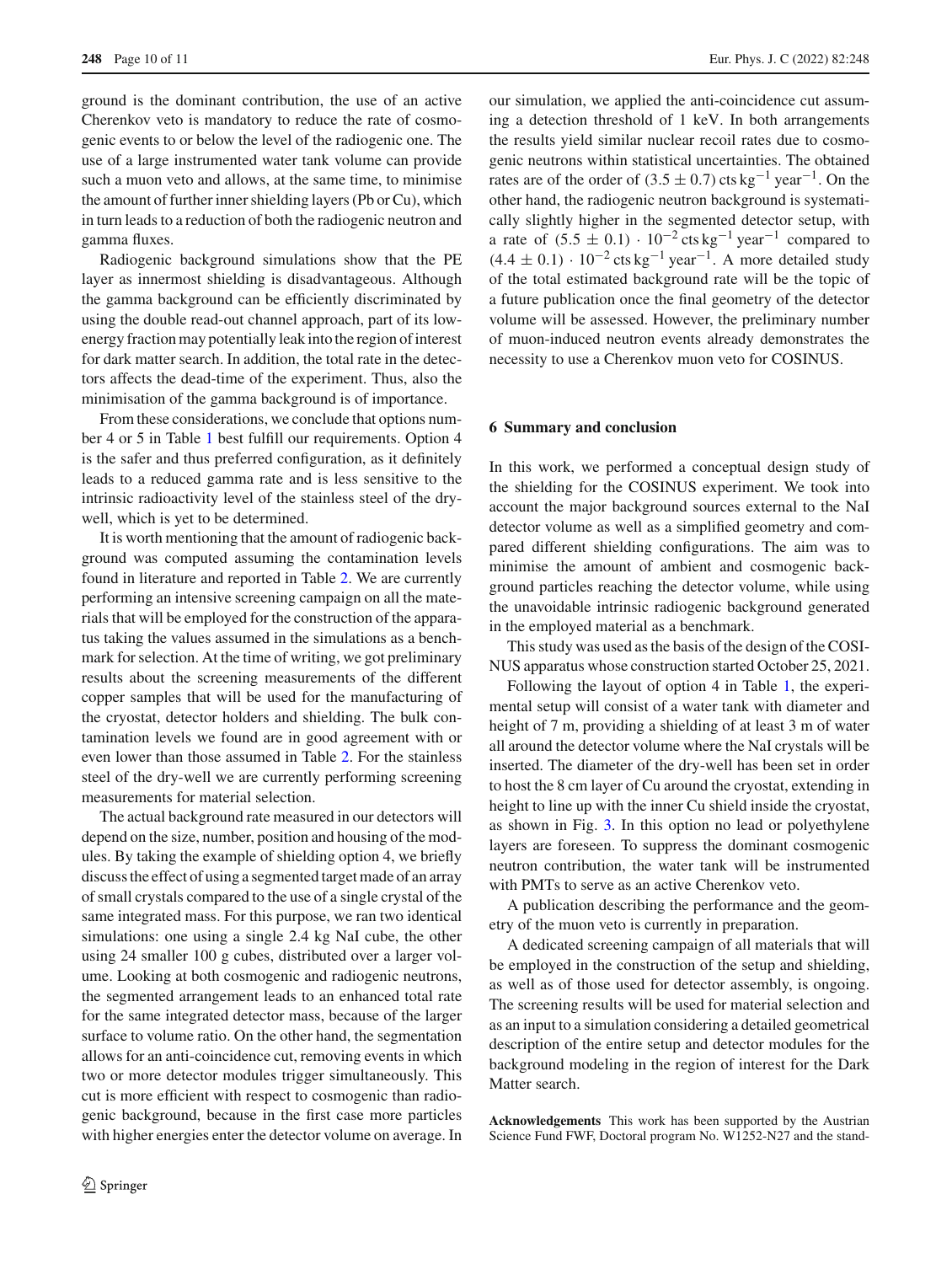ground is the dominant contribution, the use of an active Cherenkov veto is mandatory to reduce the rate of cosmogenic events to or below the level of the radiogenic one. The use of a large instrumented water tank volume can provide such a muon veto and allows, at the same time, to minimise the amount of further inner shielding layers (Pb or Cu), which in turn leads to a reduction of both the radiogenic neutron and gamma fluxes.

Radiogenic background simulations show that the PE layer as innermost shielding is disadvantageous. Although the gamma background can be efficiently discriminated by using the double read-out channel approach, part of its lowenergy fraction may potentially leak into the region of interest for dark matter search. In addition, the total rate in the detectors affects the dead-time of the experiment. Thus, also the minimisation of the gamma background is of importance.

From these considerations, we conclude that options number 4 or 5 in Table [1](#page-4-1) best fulfill our requirements. Option 4 is the safer and thus preferred configuration, as it definitely leads to a reduced gamma rate and is less sensitive to the intrinsic radioactivity level of the stainless steel of the drywell, which is yet to be determined.

It is worth mentioning that the amount of radiogenic background was computed assuming the contamination levels found in literature and reported in Table [2.](#page-5-0) We are currently performing an intensive screening campaign on all the materials that will be employed for the construction of the apparatus taking the values assumed in the simulations as a benchmark for selection. At the time of writing, we got preliminary results about the screening measurements of the different copper samples that will be used for the manufacturing of the cryostat, detector holders and shielding. The bulk contamination levels we found are in good agreement with or even lower than those assumed in Table [2.](#page-5-0) For the stainless steel of the dry-well we are currently performing screening measurements for material selection.

The actual background rate measured in our detectors will depend on the size, number, position and housing of the modules. By taking the example of shielding option 4, we briefly discuss the effect of using a segmented target made of an array of small crystals compared to the use of a single crystal of the same integrated mass. For this purpose, we ran two identical simulations: one using a single 2.4 kg NaI cube, the other using 24 smaller 100 g cubes, distributed over a larger volume. Looking at both cosmogenic and radiogenic neutrons, the segmented arrangement leads to an enhanced total rate for the same integrated detector mass, because of the larger surface to volume ratio. On the other hand, the segmentation allows for an anti-coincidence cut, removing events in which two or more detector modules trigger simultaneously. This cut is more efficient with respect to cosmogenic than radiogenic background, because in the first case more particles with higher energies enter the detector volume on average. In our simulation, we applied the anti-coincidence cut assuming a detection threshold of 1 keV. In both arrangements the results yield similar nuclear recoil rates due to cosmogenic neutrons within statistical uncertainties. The obtained rates are of the order of  $(3.5 \pm 0.7)$  cts kg<sup>-1</sup> year<sup>-1</sup>. On the other hand, the radiogenic neutron background is systematically slightly higher in the segmented detector setup, with a rate of  $(5.5 \pm 0.1) \cdot 10^{-2}$  cts kg<sup>-1</sup> year<sup>-1</sup> compared to  $(4.4 \pm 0.1) \cdot 10^{-2}$  cts kg<sup>-1</sup> year<sup>-1</sup>. A more detailed study of the total estimated background rate will be the topic of a future publication once the final geometry of the detector volume will be assessed. However, the preliminary number of muon-induced neutron events already demonstrates the necessity to use a Cherenkov muon veto for COSINUS.

## **6 Summary and conclusion**

In this work, we performed a conceptual design study of the shielding for the COSINUS experiment. We took into account the major background sources external to the NaI detector volume as well as a simplified geometry and compared different shielding configurations. The aim was to minimise the amount of ambient and cosmogenic background particles reaching the detector volume, while using the unavoidable intrinsic radiogenic background generated in the employed material as a benchmark.

This study was used as the basis of the design of the COSI-NUS apparatus whose construction started October 25, 2021.

Following the layout of option 4 in Table [1,](#page-4-1) the experimental setup will consist of a water tank with diameter and height of 7 m, providing a shielding of at least 3 m of water all around the detector volume where the NaI crystals will be inserted. The diameter of the dry-well has been set in order to host the 8 cm layer of Cu around the cryostat, extending in height to line up with the inner Cu shield inside the cryostat, as shown in Fig. [3.](#page-2-0) In this option no lead or polyethylene layers are foreseen. To suppress the dominant cosmogenic neutron contribution, the water tank will be instrumented with PMTs to serve as an active Cherenkov veto.

A publication describing the performance and the geometry of the muon veto is currently in preparation.

A dedicated screening campaign of all materials that will be employed in the construction of the setup and shielding, as well as of those used for detector assembly, is ongoing. The screening results will be used for material selection and as an input to a simulation considering a detailed geometrical description of the entire setup and detector modules for the background modeling in the region of interest for the Dark Matter search.

**Acknowledgements** This work has been supported by the Austrian Science Fund FWF, Doctoral program No. W1252-N27 and the stand-